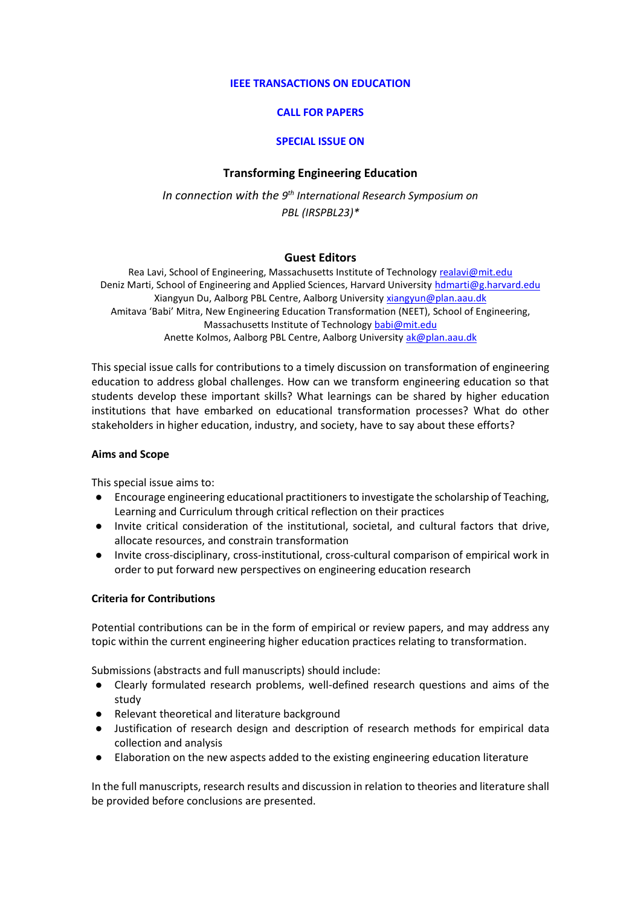#### **IEEE TRANSACTIONS ON EDUCATION**

## **CALL FOR PAPERS**

#### **SPECIAL ISSUE ON**

## **Transforming Engineering Education**

*In connection with the 9 th International Research Symposium on PBL (IRSPBL23)\**

## **Guest Editors**

Rea Lavi, School of Engineering, Massachusetts Institute of Technology [realavi@mit.edu](mailto:realavi@mit.edu) Deniz Marti, School of Engineering and Applied Sciences, Harvard University [hdmarti@g.harvard.edu](mailto:hdmarti@g.harvard.edu) Xiangyun Du, Aalborg PBL Centre, Aalborg University [xiangyun@plan.aau.dk](mailto:xiangyun@plan.aau.dk) Amitava 'Babi' Mitra, New Engineering Education Transformation (NEET), School of Engineering, Massachusetts Institute of Technology [babi@mit.edu](mailto:babi@mit.edu) Anette Kolmos, Aalborg PBL Centre, Aalborg University [ak@plan.aau.dk](mailto:ak@plan.aau.dk)

This special issue calls for contributions to a timely discussion on transformation of engineering education to address global challenges. How can we transform engineering education so that students develop these important skills? What learnings can be shared by higher education institutions that have embarked on educational transformation processes? What do other stakeholders in higher education, industry, and society, have to say about these efforts?

#### **Aims and Scope**

This special issue aims to:

- Encourage engineering educational practitioners to investigate the scholarship of Teaching, Learning and Curriculum through critical reflection on their practices
- Invite critical consideration of the institutional, societal, and cultural factors that drive, allocate resources, and constrain transformation
- Invite cross-disciplinary, cross-institutional, cross-cultural comparison of empirical work in order to put forward new perspectives on engineering education research

## **Criteria for Contributions**

Potential contributions can be in the form of empirical or review papers, and may address any topic within the current engineering higher education practices relating to transformation.

Submissions (abstracts and full manuscripts) should include:

- Clearly formulated research problems, well-defined research questions and aims of the study
- Relevant theoretical and literature background
- Justification of research design and description of research methods for empirical data collection and analysis
- Elaboration on the new aspects added to the existing engineering education literature

In the full manuscripts, research results and discussion in relation to theories and literature shall be provided before conclusions are presented.